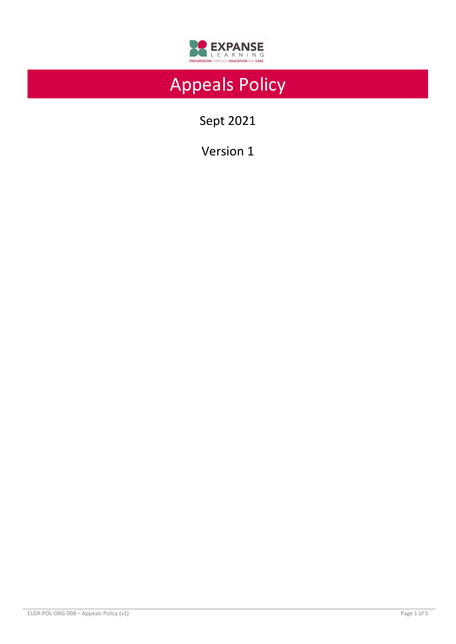

# Appeals Policy

Sept 2021

Version 1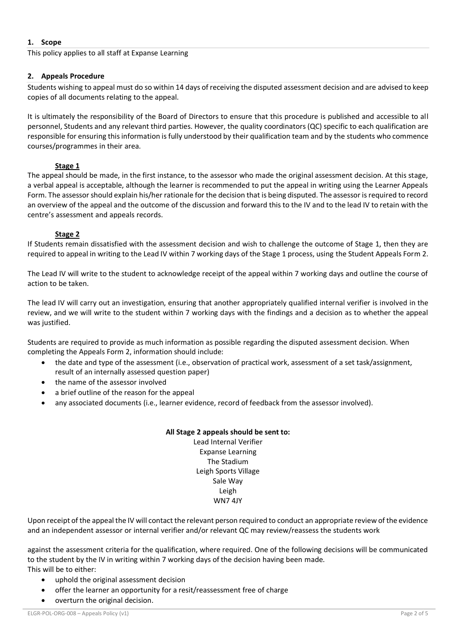## **1. Scope**

This policy applies to all staff at Expanse Learning

## **2. Appeals Procedure**

Students wishing to appeal must do so within 14 days of receiving the disputed assessment decision and are advised to keep copies of all documents relating to the appeal.

It is ultimately the responsibility of the Board of Directors to ensure that this procedure is published and accessible to all personnel, Students and any relevant third parties. However, the quality coordinators (QC) specific to each qualification are responsible for ensuring this information is fully understood by their qualification team and by the students who commence courses/programmes in their area.

## **Stage 1**

The appeal should be made, in the first instance, to the assessor who made the original assessment decision. At this stage, a verbal appeal is acceptable, although the learner is recommended to put the appeal in writing using the Learner Appeals Form. The assessor should explain his/her rationale for the decision that is being disputed. The assessor is required to record an overview of the appeal and the outcome of the discussion and forward this to the IV and to the lead IV to retain with the centre's assessment and appeals records.

## **Stage 2**

If Students remain dissatisfied with the assessment decision and wish to challenge the outcome of Stage 1, then they are required to appeal in writing to the Lead IV within 7 working days of the Stage 1 process, using the Student Appeals Form 2.

The Lead IV will write to the student to acknowledge receipt of the appeal within 7 working days and outline the course of action to be taken.

The lead IV will carry out an investigation, ensuring that another appropriately qualified internal verifier is involved in the review, and we will write to the student within 7 working days with the findings and a decision as to whether the appeal was justified.

Students are required to provide as much information as possible regarding the disputed assessment decision. When completing the Appeals Form 2, information should include:

- the date and type of the assessment (i.e., observation of practical work, assessment of a set task/assignment, result of an internally assessed question paper)
- the name of the assessor involved
- a brief outline of the reason for the appeal
- any associated documents (i.e., learner evidence, record of feedback from the assessor involved).

## **All Stage 2 appeals should be sent to:** Lead Internal Verifier

Expanse Learning The Stadium Leigh Sports Village Sale Way Leigh WN7 4JY

Upon receipt of the appeal the IV will contact the relevant person required to conduct an appropriate review of the evidence and an independent assessor or internal verifier and/or relevant QC may review/reassess the students work

against the assessment criteria for the qualification, where required. One of the following decisions will be communicated to the student by the IV in writing within 7 working days of the decision having been made. This will be to either:

- uphold the original assessment decision
- offer the learner an opportunity for a resit/reassessment free of charge
- overturn the original decision.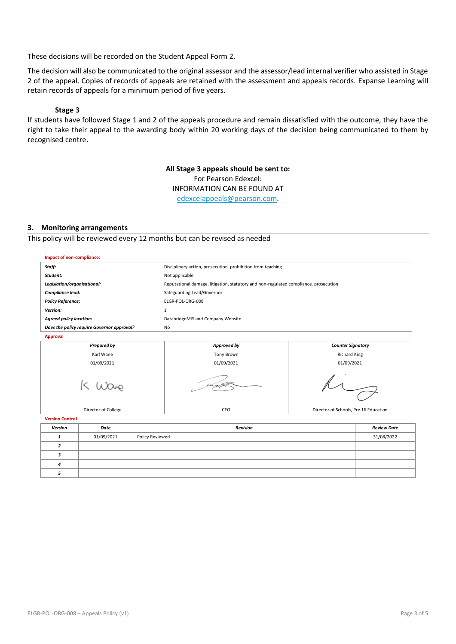These decisions will be recorded on the Student Appeal Form 2.

The decision will also be communicated to the original assessor and the assessor/lead internal verifier who assisted in Stage 2 of the appeal. Copies of records of appeals are retained with the assessment and appeals records. Expanse Learning will retain records of appeals for a minimum period of five years.

## **Stage 3**

If students have followed Stage 1 and 2 of the appeals procedure and remain dissatisfied with the outcome, they have the right to take their appeal to the awarding body within 20 working days of the decision being communicated to them by recognised centre.

> **All Stage 3 appeals should be sent to:** For Pearson Edexcel: INFORMATION CAN BE FOUND AT [edexcelappeals@pearson.com.](mailto:edexcelappeals@pearson.com)

#### **3. Monitoring arrangements**

This policy will be reviewed every 12 months but can be revised as needed

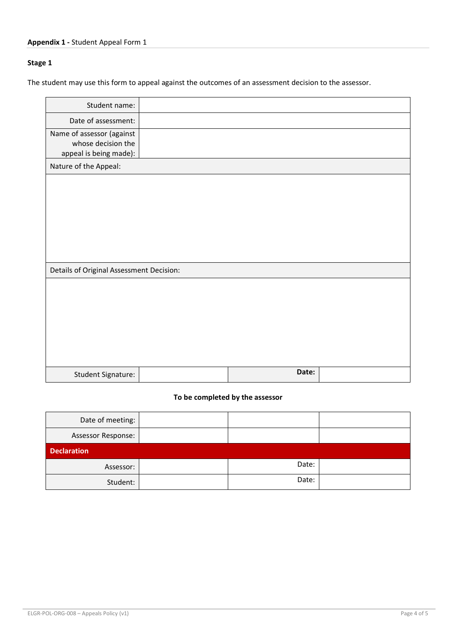## **Stage 1**

The student may use this form to appeal against the outcomes of an assessment decision to the assessor.

| Student name:                                                             |       |  |
|---------------------------------------------------------------------------|-------|--|
| Date of assessment:                                                       |       |  |
| Name of assessor (against<br>whose decision the<br>appeal is being made): |       |  |
| Nature of the Appeal:                                                     |       |  |
|                                                                           |       |  |
|                                                                           |       |  |
|                                                                           |       |  |
|                                                                           |       |  |
|                                                                           |       |  |
| Details of Original Assessment Decision:                                  |       |  |
|                                                                           |       |  |
|                                                                           |       |  |
|                                                                           |       |  |
|                                                                           |       |  |
|                                                                           |       |  |
|                                                                           |       |  |
| Student Signature:                                                        | Date: |  |

## **To be completed by the assessor**

| Date of meeting:          |       |  |
|---------------------------|-------|--|
| <b>Assessor Response:</b> |       |  |
| <b>Declaration</b>        |       |  |
| Assessor:                 | Date: |  |
| Student:                  | Date: |  |